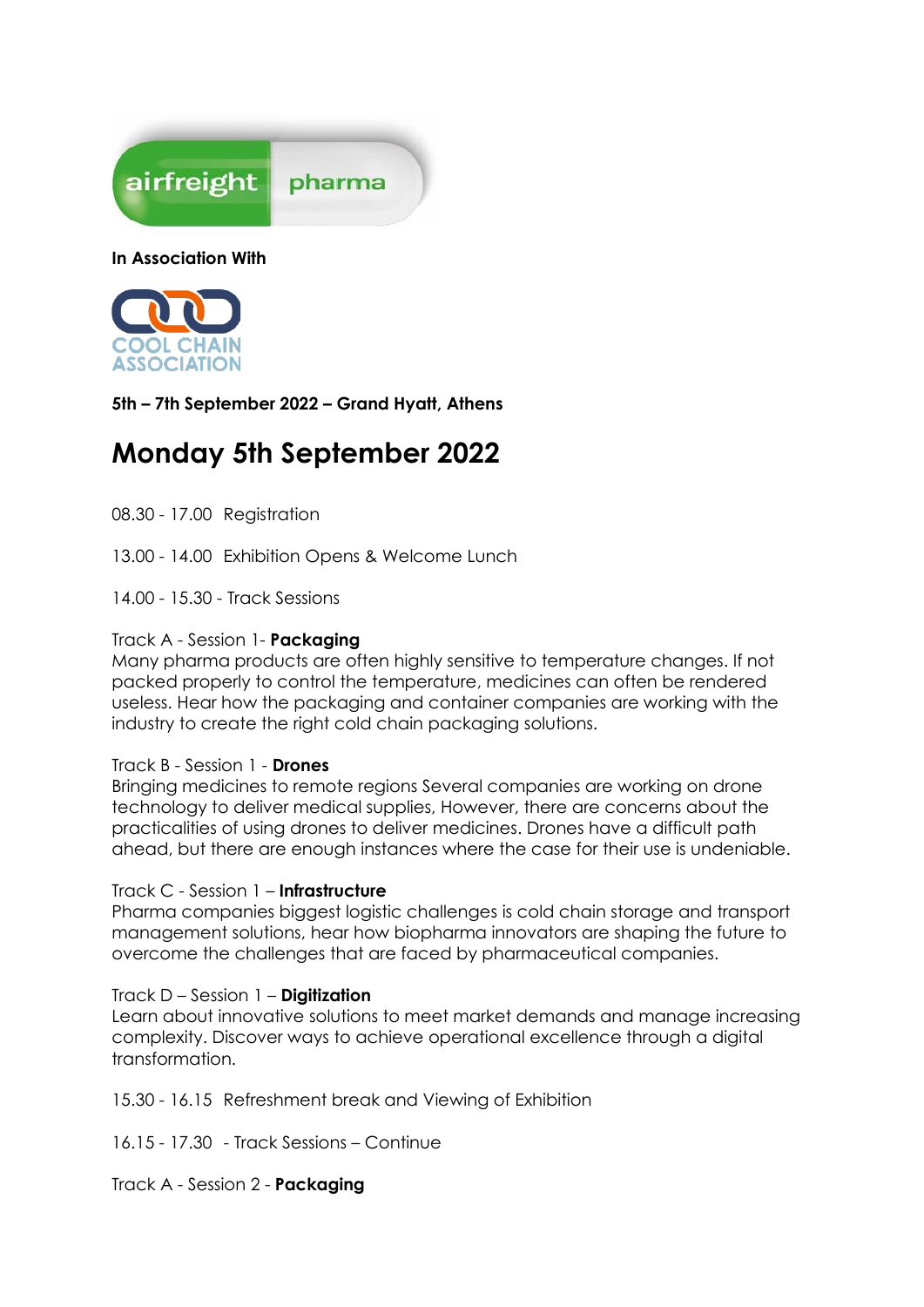

**In Association With**



**5th – 7th September 2022 – Grand Hyatt, Athens**

## **Monday 5th September 2022**

08.30 - 17.00 Registration

13.00 - 14.00 Exhibition Opens & Welcome Lunch

14.00 - 15.30 - Track Sessions

### Track A - Session 1- **Packaging**

Many pharma products are often highly sensitive to temperature changes. If not packed properly to control the temperature, medicines can often be rendered useless. Hear how the packaging and container companies are working with the industry to create the right cold chain packaging solutions.

### Track B - Session 1 - **Drones**

Bringing medicines to remote regions Several companies are working on drone technology to deliver medical supplies, However, there are concerns about the practicalities of using drones to deliver medicines. Drones have a difficult path ahead, but there are enough instances where the case for their use is undeniable.

### Track C - Session 1 – **Infrastructure**

Pharma companies biggest logistic challenges is cold chain storage and transport management solutions, hear how biopharma innovators are shaping the future to overcome the challenges that are faced by pharmaceutical companies.

### Track D – Session 1 – **Digitization**

Learn about innovative solutions to meet market demands and manage increasing complexity. Discover ways to achieve operational excellence through a digital transformation.

15.30 - 16.15 Refreshment break and Viewing of Exhibition

16.15 - 17.30 - Track Sessions – Continue

Track A - Session 2 - **Packaging**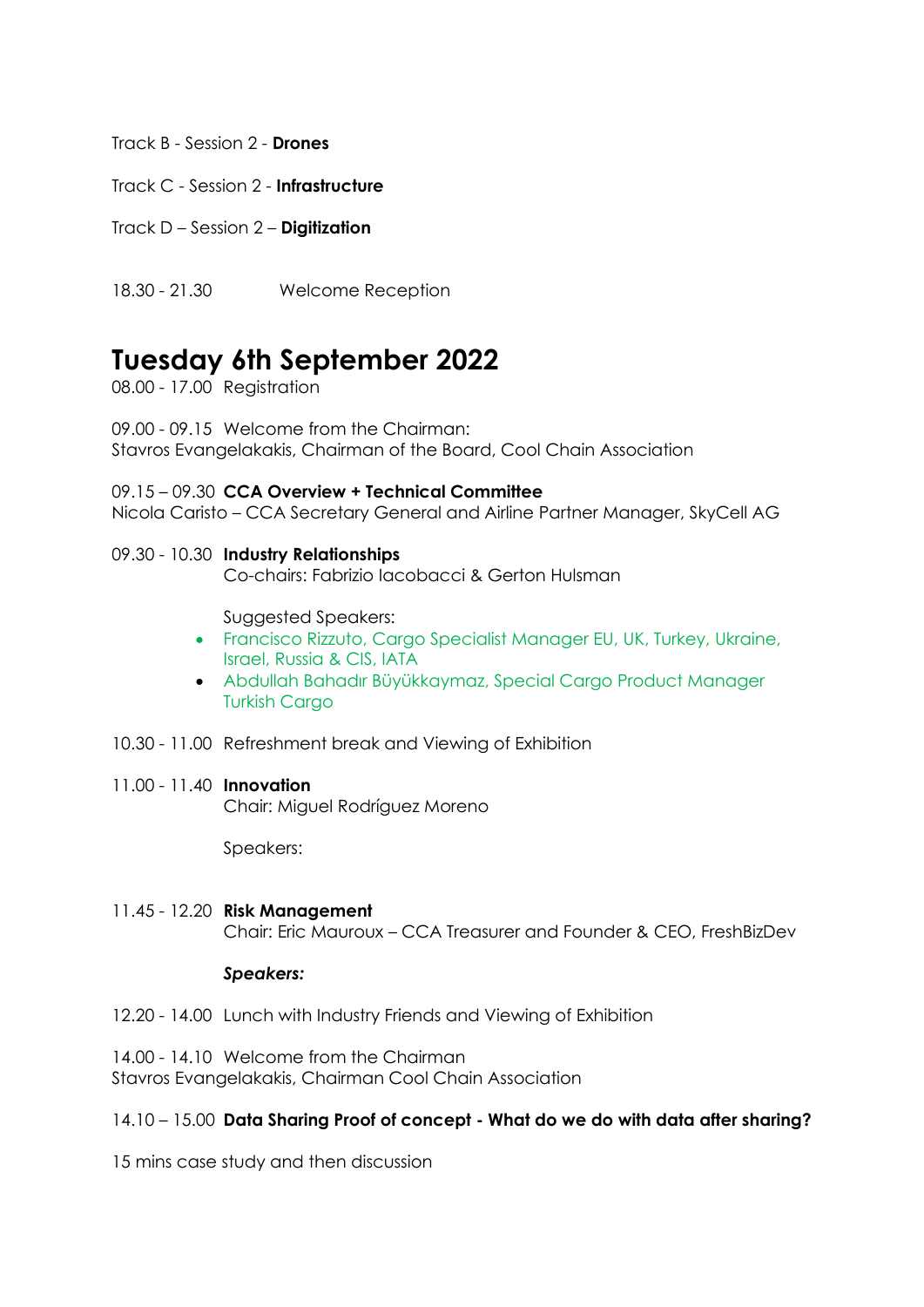Track B - Session 2 - **Drones**

Track C - Session 2 - **Infrastructure**

Track D – Session 2 – **Digitization**

18.30 - 21.30 Welcome Reception

# **Tuesday 6th September 2022**

08.00 - 17.00 Registration

09.00 - 09.15 Welcome from the Chairman: Stavros Evangelakakis, Chairman of the Board, Cool Chain Association

09.15 – 09.30 **CCA Overview + Technical Committee** Nicola Caristo – CCA Secretary General and Airline Partner Manager, SkyCell AG

### 09.30 - 10.30 **Industry Relationships**

Co-chairs: Fabrizio Iacobacci & Gerton Hulsman

Suggested Speakers:

- Francisco Rizzuto, Cargo Specialist Manager EU, UK, Turkey, Ukraine, Israel, Russia & CIS, IATA
- Abdullah Bahadır Büyükkaymaz, Special Cargo Product Manager Turkish Cargo
- 10.30 11.00 Refreshment break and Viewing of Exhibition
- 11.00 11.40 **Innovation** Chair: Miguel Rodríguez Moreno

Speakers:

11.45 - 12.20 **Risk Management** Chair: Eric Mauroux – CCA Treasurer and Founder & CEO, FreshBizDev

### *Speakers:*

- 12.20 14.00 Lunch with Industry Friends and Viewing of Exhibition
- 14.00 14.10 Welcome from the Chairman

Stavros Evangelakakis, Chairman Cool Chain Association

### 14.10 – 15.00 **Data Sharing Proof of concept - What do we do with data after sharing?**

15 mins case study and then discussion